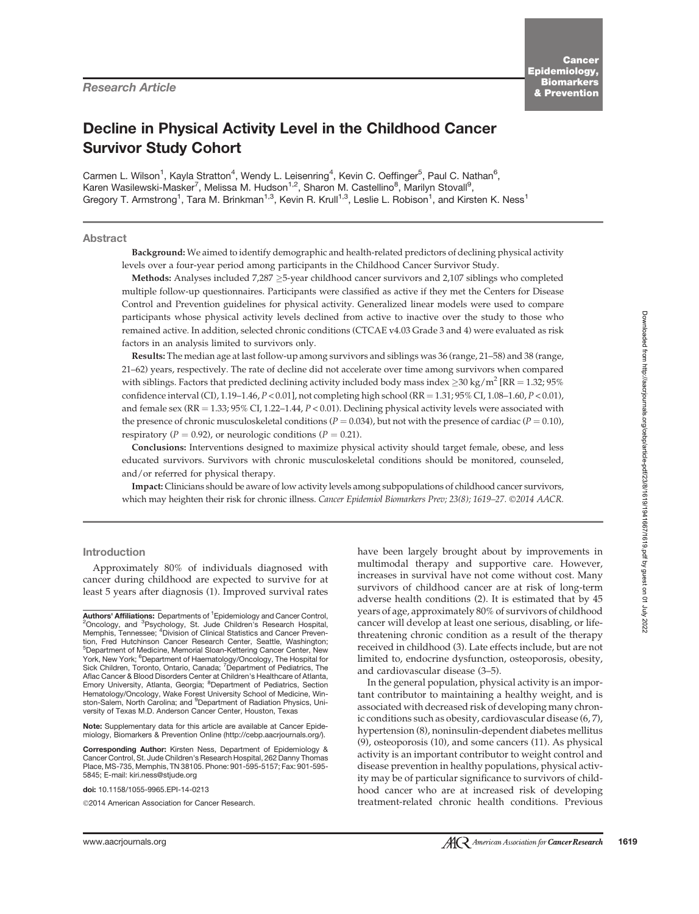# Decline in Physical Activity Level in the Childhood Cancer Survivor Study Cohort

Carmen L. Wilson<sup>1</sup>, Kayla Stratton<sup>4</sup>, Wendy L. Leisenring<sup>4</sup>, Kevin C. Oeffinger<sup>5</sup>, Paul C. Nathan<sup>6</sup>, Karen Wasilewski-Masker<sup>7</sup>, Melissa M. Hudson<sup>1,2</sup>, Sharon M. Castellino<sup>8</sup>, Marilyn Stovall<sup>9</sup>, Gregory T. Armstrong<sup>1</sup>, Tara M. Brinkman<sup>1,3</sup>, Kevin R. Krull<sup>1,3</sup>, Leslie L. Robison<sup>1</sup>, and Kirsten K. Ness<sup>1</sup>

## Abstract

Background: We aimed to identify demographic and health-related predictors of declining physical activity levels over a four-year period among participants in the Childhood Cancer Survivor Study.

Methods: Analyses included 7,287  $\geq$ 5-year childhood cancer survivors and 2,107 siblings who completed multiple follow-up questionnaires. Participants were classified as active if they met the Centers for Disease Control and Prevention guidelines for physical activity. Generalized linear models were used to compare participants whose physical activity levels declined from active to inactive over the study to those who remained active. In addition, selected chronic conditions (CTCAE v4.03 Grade 3 and 4) were evaluated as risk factors in an analysis limited to survivors only.

Results: The median age at last follow-up among survivors and siblings was 36 (range, 21–58) and 38 (range, 21–62) years, respectively. The rate of decline did not accelerate over time among survivors when compared with siblings. Factors that predicted declining activity included body mass index  $\geq$ 30 kg/m<sup>2</sup> [RR = 1.32; 95%] confidence interval (CI), 1.19–1.46,  $P < 0.01$ ], not completing high school (RR = 1.31; 95% CI, 1.08–1.60,  $P < 0.01$ ), and female sex (RR =  $1.33$ ; 95% CI, 1.22–1.44,  $P < 0.01$ ). Declining physical activity levels were associated with the presence of chronic musculoskeletal conditions ( $P = 0.034$ ), but not with the presence of cardiac ( $P = 0.10$ ), respiratory ( $P = 0.92$ ), or neurologic conditions ( $P = 0.21$ ).

Conclusions: Interventions designed to maximize physical activity should target female, obese, and less educated survivors. Survivors with chronic musculoskeletal conditions should be monitored, counseled, and/or referred for physical therapy.

Impact: Clinicians should be aware of low activity levels among subpopulations of childhood cancer survivors, which may heighten their risk for chronic illness. Cancer Epidemiol Biomarkers Prev; 23(8); 1619-27. ©2014 AACR.

## Introduction

Approximately 80% of individuals diagnosed with cancer during childhood are expected to survive for at least 5 years after diagnosis (1). Improved survival rates

Note: Supplementary data for this article are available at Cancer Epidemiology, Biomarkers & Prevention Online (http://cebp.aacrjournals.org/).

Corresponding Author: Kirsten Ness, Department of Epidemiology & Cancer Control, St. Jude Children's Research Hospital, 262 Danny Thomas Place, MS-735, Memphis, TN 38105. Phone: 901-595-5157; Fax: 901-595- 5845; E-mail: kiri.ness@stjude.org

doi: 10.1158/1055-9965.EPI-14-0213

©2014 American Association for Cancer Research.

have been largely brought about by improvements in multimodal therapy and supportive care. However, increases in survival have not come without cost. Many survivors of childhood cancer are at risk of long-term adverse health conditions (2). It is estimated that by 45 years of age, approximately 80% of survivors of childhood cancer will develop at least one serious, disabling, or lifethreatening chronic condition as a result of the therapy received in childhood (3). Late effects include, but are not limited to, endocrine dysfunction, osteoporosis, obesity, and cardiovascular disease (3–5).

In the general population, physical activity is an important contributor to maintaining a healthy weight, and is associated with decreased risk of developing many chronic conditions such as obesity, cardiovascular disease (6, 7), hypertension (8), noninsulin-dependent diabetes mellitus (9), osteoporosis (10), and some cancers (11). As physical activity is an important contributor to weight control and disease prevention in healthy populations, physical activity may be of particular significance to survivors of childhood cancer who are at increased risk of developing treatment-related chronic health conditions. Previous

**Authors' Affiliations:** Departments of <sup>1</sup>Epidemiology and Cancer Control,<br><sup>2</sup>Oncology, and <sup>3</sup>Psychology, St. Jude Children's Research Hospital, Memphis, Tennessee; <sup>4</sup>Division of Clinical Statistics and Cancer Prevention, Fred Hutchinson Cancer Research Center, Seattle, Washington;<br><sup>5</sup>Department of Medicine, Memorial Sloan-Kettering Cancer Center, New York, New York; <sup>6</sup>Department of Haematology/Oncology, The Hospital for Sick Children, Toronto, Ontario, Canada; <sup>7</sup> Department of Pediatrics, The Aflac Cancer & Blood Disorders Center at Children's Healthcare of Atlanta, Emory University, Atlanta, Georgia; <sup>8</sup>Department of Pediatrics, Section Hematology/Oncology, Wake Forest University School of Medicine, Winston-Salem, North Carolina; and <sup>9</sup>Department of Radiation Physics, University of Texas M.D. Anderson Cancer Center, Houston, Texas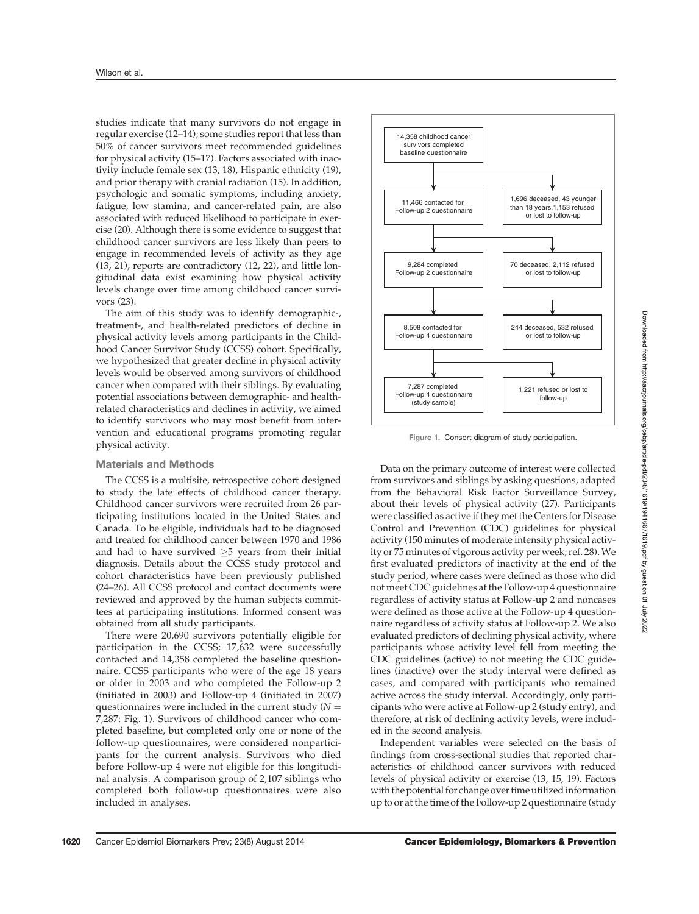studies indicate that many survivors do not engage in regular exercise (12–14); some studies report that less than 50% of cancer survivors meet recommended guidelines for physical activity (15–17). Factors associated with inactivity include female sex (13, 18), Hispanic ethnicity (19), and prior therapy with cranial radiation (15). In addition, psychologic and somatic symptoms, including anxiety, fatigue, low stamina, and cancer-related pain, are also associated with reduced likelihood to participate in exercise (20). Although there is some evidence to suggest that childhood cancer survivors are less likely than peers to engage in recommended levels of activity as they age (13, 21), reports are contradictory (12, 22), and little longitudinal data exist examining how physical activity levels change over time among childhood cancer survivors (23).

The aim of this study was to identify demographic-, treatment-, and health-related predictors of decline in physical activity levels among participants in the Childhood Cancer Survivor Study (CCSS) cohort. Specifically, we hypothesized that greater decline in physical activity levels would be observed among survivors of childhood cancer when compared with their siblings. By evaluating potential associations between demographic- and healthrelated characteristics and declines in activity, we aimed to identify survivors who may most benefit from intervention and educational programs promoting regular physical activity.

#### Materials and Methods

The CCSS is a multisite, retrospective cohort designed to study the late effects of childhood cancer therapy. Childhood cancer survivors were recruited from 26 participating institutions located in the United States and Canada. To be eligible, individuals had to be diagnosed and treated for childhood cancer between 1970 and 1986 and had to have survived  $\geq$ 5 years from their initial diagnosis. Details about the CCSS study protocol and cohort characteristics have been previously published (24–26). All CCSS protocol and contact documents were reviewed and approved by the human subjects committees at participating institutions. Informed consent was obtained from all study participants.

There were 20,690 survivors potentially eligible for participation in the CCSS; 17,632 were successfully contacted and 14,358 completed the baseline questionnaire. CCSS participants who were of the age 18 years or older in 2003 and who completed the Follow-up 2 (initiated in 2003) and Follow-up 4 (initiated in 2007) questionnaires were included in the current study ( $N =$ 7,287: Fig. 1). Survivors of childhood cancer who completed baseline, but completed only one or none of the follow-up questionnaires, were considered nonparticipants for the current analysis. Survivors who died before Follow-up 4 were not eligible for this longitudinal analysis. A comparison group of 2,107 siblings who completed both follow-up questionnaires were also included in analyses.



Figure 1. Consort diagram of study participation.

Data on the primary outcome of interest were collected from survivors and siblings by asking questions, adapted from the Behavioral Risk Factor Surveillance Survey, about their levels of physical activity (27). Participants were classified as active if they met the Centers for Disease Control and Prevention (CDC) guidelines for physical activity (150 minutes of moderate intensity physical activity or 75 minutes of vigorous activity per week; ref. 28).We first evaluated predictors of inactivity at the end of the study period, where cases were defined as those who did not meet CDC guidelines at the Follow-up 4 questionnaire regardless of activity status at Follow-up 2 and noncases were defined as those active at the Follow-up 4 questionnaire regardless of activity status at Follow-up 2. We also evaluated predictors of declining physical activity, where participants whose activity level fell from meeting the CDC guidelines (active) to not meeting the CDC guidelines (inactive) over the study interval were defined as cases, and compared with participants who remained active across the study interval. Accordingly, only participants who were active at Follow-up 2 (study entry), and therefore, at risk of declining activity levels, were included in the second analysis.

Independent variables were selected on the basis of findings from cross-sectional studies that reported characteristics of childhood cancer survivors with reduced levels of physical activity or exercise (13, 15, 19). Factors with the potential for change over time utilized information up to or at the time of the Follow-up 2 questionnaire (study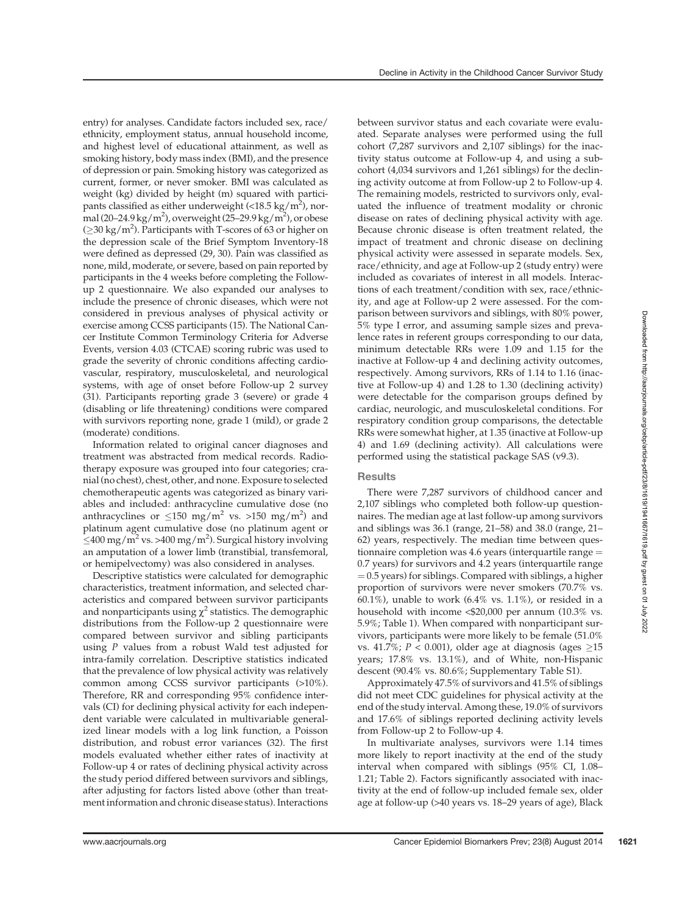entry) for analyses. Candidate factors included sex, race/ ethnicity, employment status, annual household income, and highest level of educational attainment, as well as smoking history, body mass index (BMI), and the presence of depression or pain. Smoking history was categorized as current, former, or never smoker. BMI was calculated as weight (kg) divided by height (m) squared with participants classified as either underweight  $\left($  < 18.5 kg/m<sup>2</sup> $\right)$ , normal (20–24.9 kg/m<sup>2</sup>), overweight (25–29.9 kg/m<sup>2</sup>), or obese ( $\geq$ 30 kg/m<sup>2</sup>). Participants with T-scores of 63 or higher on the depression scale of the Brief Symptom Inventory-18 were defined as depressed (29, 30). Pain was classified as none, mild, moderate, or severe, based on pain reported by participants in the 4 weeks before completing the Followup 2 questionnaire. We also expanded our analyses to include the presence of chronic diseases, which were not considered in previous analyses of physical activity or exercise among CCSS participants (15). The National Cancer Institute Common Terminology Criteria for Adverse Events, version 4.03 (CTCAE) scoring rubric was used to grade the severity of chronic conditions affecting cardiovascular, respiratory, musculoskeletal, and neurological systems, with age of onset before Follow-up 2 survey (31). Participants reporting grade 3 (severe) or grade 4 (disabling or life threatening) conditions were compared with survivors reporting none, grade 1 (mild), or grade 2 (moderate) conditions.

Information related to original cancer diagnoses and treatment was abstracted from medical records. Radiotherapy exposure was grouped into four categories; cranial (no chest), chest, other, and none. Exposure to selected chemotherapeutic agents was categorized as binary variables and included: anthracycline cumulative dose (no anthracyclines or  $\leq 150$  mg/m<sup>2</sup> vs. >150 mg/m<sup>2</sup>) and platinum agent cumulative dose (no platinum agent or  $\leq$ 400 mg/m<sup>2</sup> vs. >400 mg/m<sup>2</sup>). Surgical history involving an amputation of a lower limb (transtibial, transfemoral, or hemipelvectomy) was also considered in analyses.

Descriptive statistics were calculated for demographic characteristics, treatment information, and selected characteristics and compared between survivor participants and nonparticipants using  $\chi^2$  statistics. The demographic distributions from the Follow-up 2 questionnaire were compared between survivor and sibling participants using P values from a robust Wald test adjusted for intra-family correlation. Descriptive statistics indicated that the prevalence of low physical activity was relatively common among CCSS survivor participants (>10%). Therefore, RR and corresponding 95% confidence intervals (CI) for declining physical activity for each independent variable were calculated in multivariable generalized linear models with a log link function, a Poisson distribution, and robust error variances (32). The first models evaluated whether either rates of inactivity at Follow-up 4 or rates of declining physical activity across the study period differed between survivors and siblings, after adjusting for factors listed above (other than treatment information and chronic disease status). Interactions

between survivor status and each covariate were evaluated. Separate analyses were performed using the full cohort (7,287 survivors and 2,107 siblings) for the inactivity status outcome at Follow-up 4, and using a subcohort (4,034 survivors and 1,261 siblings) for the declining activity outcome at from Follow-up 2 to Follow-up 4. The remaining models, restricted to survivors only, evaluated the influence of treatment modality or chronic disease on rates of declining physical activity with age. Because chronic disease is often treatment related, the impact of treatment and chronic disease on declining physical activity were assessed in separate models. Sex, race/ethnicity, and age at Follow-up 2 (study entry) were included as covariates of interest in all models. Interactions of each treatment/condition with sex, race/ethnicity, and age at Follow-up 2 were assessed. For the comparison between survivors and siblings, with 80% power, 5% type I error, and assuming sample sizes and prevalence rates in referent groups corresponding to our data, minimum detectable RRs were 1.09 and 1.15 for the inactive at Follow-up 4 and declining activity outcomes, respectively. Among survivors, RRs of 1.14 to 1.16 (inactive at Follow-up 4) and 1.28 to 1.30 (declining activity) were detectable for the comparison groups defined by cardiac, neurologic, and musculoskeletal conditions. For respiratory condition group comparisons, the detectable RRs were somewhat higher, at 1.35 (inactive at Follow-up 4) and 1.69 (declining activity). All calculations were performed using the statistical package SAS (v9.3).

### **Results**

There were 7,287 survivors of childhood cancer and 2,107 siblings who completed both follow-up questionnaires. The median age at last follow-up among survivors and siblings was 36.1 (range, 21–58) and 38.0 (range, 21– 62) years, respectively. The median time between questionnaire completion was 4.6 years (interquartile range  $=$ 0.7 years) for survivors and 4.2 years (interquartile range  $= 0.5$  years) for siblings. Compared with siblings, a higher proportion of survivors were never smokers (70.7% vs. 60.1%), unable to work (6.4% vs. 1.1%), or resided in a household with income <\$20,000 per annum (10.3% vs. 5.9%; Table 1). When compared with nonparticipant survivors, participants were more likely to be female (51.0% vs. 41.7%;  $P < 0.001$ ), older age at diagnosis (ages  $\geq 15$ years; 17.8% vs. 13.1%), and of White, non-Hispanic descent (90.4% vs. 80.6%; Supplementary Table S1).

Approximately 47.5% of survivors and 41.5% of siblings did not meet CDC guidelines for physical activity at the end of the study interval. Among these, 19.0% of survivors and 17.6% of siblings reported declining activity levels from Follow-up 2 to Follow-up 4.

In multivariate analyses, survivors were 1.14 times more likely to report inactivity at the end of the study interval when compared with siblings (95% CI, 1.08– 1.21; Table 2). Factors significantly associated with inactivity at the end of follow-up included female sex, older age at follow-up (>40 years vs. 18–29 years of age), Black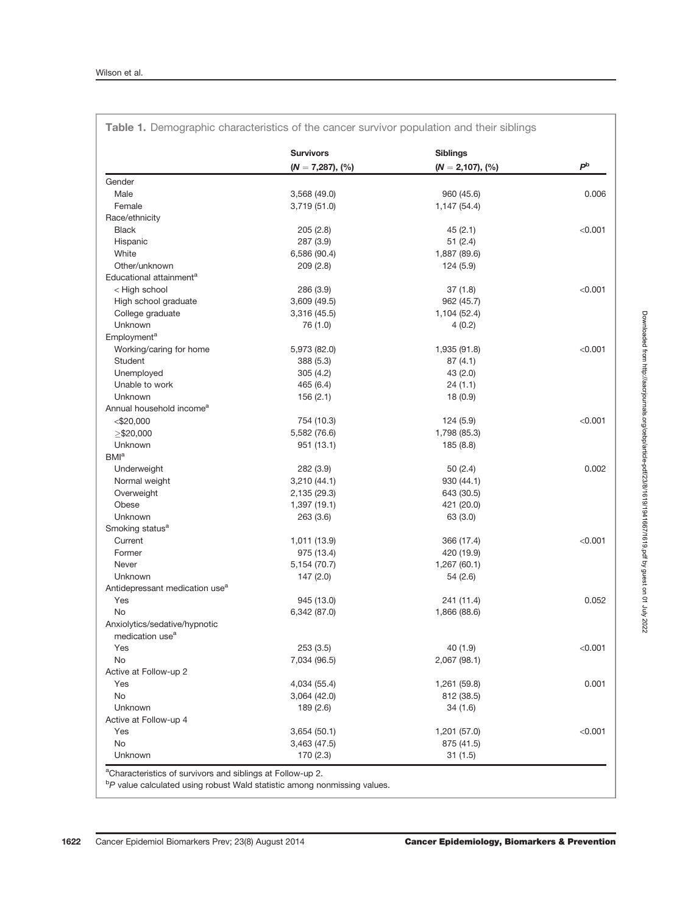|                                            | <b>Survivors</b>   | <b>Siblings</b>        |                |
|--------------------------------------------|--------------------|------------------------|----------------|
|                                            | $(N = 7,287), (%)$ | $(N = 2,107)$ , $(\%)$ | P <sub>b</sub> |
| Gender                                     |                    |                        |                |
| Male                                       | 3,568 (49.0)       | 960 (45.6)             | 0.006          |
| Female                                     | 3,719 (51.0)       | 1,147 (54.4)           |                |
| Race/ethnicity                             |                    |                        |                |
| <b>Black</b>                               | 205(2.8)           | 45(2.1)                | < 0.001        |
| Hispanic                                   | 287 (3.9)          | 51(2.4)                |                |
| White                                      | 6,586 (90.4)       | 1,887 (89.6)           |                |
| Other/unknown                              | 209(2.8)           | 124 (5.9)              |                |
| Educational attainment <sup>a</sup>        |                    |                        |                |
| < High school                              | 286 (3.9)          | 37(1.8)                | < 0.001        |
| High school graduate                       | 3,609 (49.5)       | 962 (45.7)             |                |
| College graduate                           | 3,316 (45.5)       | 1,104 (52.4)           |                |
| Unknown                                    | 76 (1.0)           | 4(0.2)                 |                |
| Employment <sup>a</sup>                    |                    |                        |                |
| Working/caring for home                    | 5,973 (82.0)       | 1,935 (91.8)           | < 0.001        |
| Student                                    | 388 (5.3)          | 87(4.1)                |                |
| Unemployed                                 | 305(4.2)           | 43 (2.0)               |                |
| Unable to work                             | 465 (6.4)          | 24(1.1)                |                |
| Unknown                                    | 156(2.1)           | 18(0.9)                |                |
| Annual household income <sup>a</sup>       |                    |                        |                |
| $<$ \$20,000                               | 754 (10.3)         | 124 (5.9)              | < 0.001        |
| $>$ \$20,000                               | 5,582 (76.6)       | 1,798 (85.3)           |                |
| Unknown                                    | 951 (13.1)         | 185 (8.8)              |                |
| BM <sup>a</sup>                            |                    |                        |                |
| Underweight                                | 282 (3.9)          | 50(2.4)                | 0.002          |
| Normal weight                              | 3,210(44.1)        | 930 (44.1)             |                |
| Overweight                                 | 2,135 (29.3)       | 643 (30.5)             |                |
| Obese                                      | 1,397 (19.1)       | 421 (20.0)             |                |
| Unknown                                    |                    |                        |                |
|                                            | 263 (3.6)          | 63 (3.0)               |                |
| Smoking status <sup>a</sup>                |                    |                        | < 0.001        |
| Current                                    | 1,011 (13.9)       | 366 (17.4)             |                |
| Former                                     | 975 (13.4)         | 420 (19.9)             |                |
| Never                                      | 5,154 (70.7)       | 1,267 (60.1)           |                |
| Unknown                                    | 147(2.0)           | 54 (2.6)               |                |
| Antidepressant medication use <sup>a</sup> |                    |                        |                |
| Yes                                        | 945 (13.0)         | 241 (11.4)             | 0.052          |
| No                                         | 6,342 (87.0)       | 1,866 (88.6)           |                |
| Anxiolytics/sedative/hypnotic              |                    |                        |                |
| medication use <sup>a</sup>                |                    |                        |                |
| Yes                                        | 253(3.5)           | 40 (1.9)               | < 0.001        |
| No                                         | 7,034 (96.5)       | 2,067 (98.1)           |                |
| Active at Follow-up 2                      |                    |                        |                |
| Yes                                        | 4,034 (55.4)       | 1,261 (59.8)           | 0.001          |
| No                                         | 3,064(42.0)        | 812 (38.5)             |                |
| Unknown                                    | 189 (2.6)          | 34 (1.6)               |                |
| Active at Follow-up 4                      |                    |                        |                |
| Yes                                        | 3,654 (50.1)       | 1,201 (57.0)           | < 0.001        |
| No                                         | 3,463 (47.5)       | 875 (41.5)             |                |
| Unknown                                    | 170(2.3)           | 31(1.5)                |                |

<sup>b</sup>P value calculated using robust Wald statistic among nonmissing values.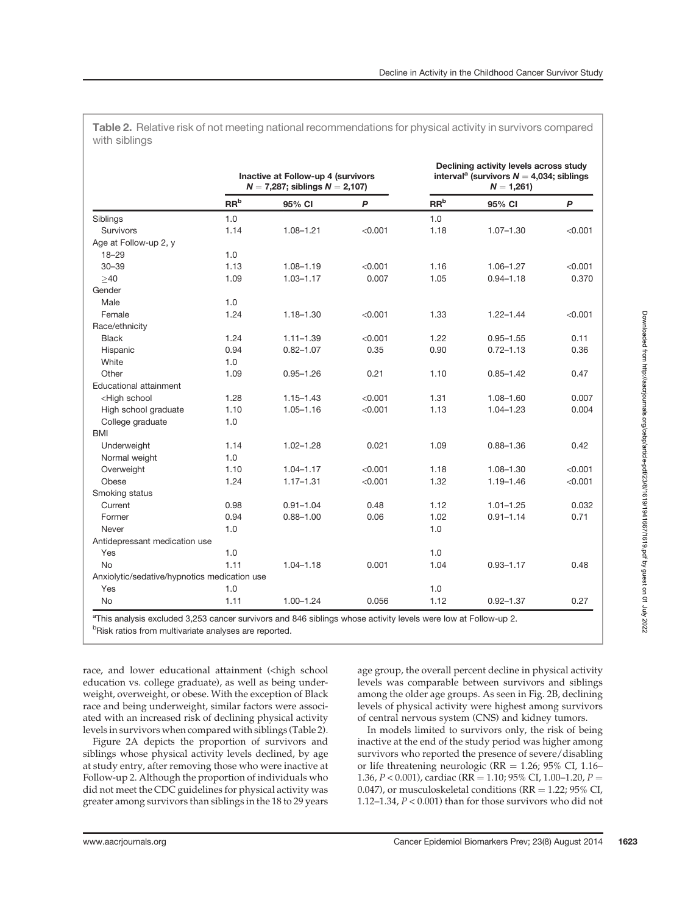Table 2. Relative risk of not meeting national recommendations for physical activity in survivors compared with siblings

|                                                                                                                                              | Inactive at Follow-up 4 (survivors<br>$N = 7,287$ ; siblings $N = 2,107$ ) |               |         | Declining activity levels across study<br>interval <sup>a</sup> (survivors $N = 4,034$ ; siblings<br>$N = 1,261$ |               |              |
|----------------------------------------------------------------------------------------------------------------------------------------------|----------------------------------------------------------------------------|---------------|---------|------------------------------------------------------------------------------------------------------------------|---------------|--------------|
|                                                                                                                                              | RR <sup>b</sup>                                                            | 95% CI        | P       | RR <sup>b</sup>                                                                                                  | 95% CI        | $\mathsf{P}$ |
| Siblings                                                                                                                                     | 1.0                                                                        |               |         | 1.0                                                                                                              |               |              |
| <b>Survivors</b>                                                                                                                             | 1.14                                                                       | $1.08 - 1.21$ | < 0.001 | 1.18                                                                                                             | $1.07 - 1.30$ | < 0.001      |
| Age at Follow-up 2, y                                                                                                                        |                                                                            |               |         |                                                                                                                  |               |              |
| $18 - 29$                                                                                                                                    | 1.0                                                                        |               |         |                                                                                                                  |               |              |
| $30 - 39$                                                                                                                                    | 1.13                                                                       | $1.08 - 1.19$ | < 0.001 | 1.16                                                                                                             | $1.06 - 1.27$ | < 0.001      |
| >40                                                                                                                                          | 1.09                                                                       | $1.03 - 1.17$ | 0.007   | 1.05                                                                                                             | $0.94 - 1.18$ | 0.370        |
| Gender                                                                                                                                       |                                                                            |               |         |                                                                                                                  |               |              |
| Male                                                                                                                                         | 1.0                                                                        |               |         |                                                                                                                  |               |              |
| Female                                                                                                                                       | 1.24                                                                       | $1.18 - 1.30$ | < 0.001 | 1.33                                                                                                             | $1.22 - 1.44$ | < 0.001      |
| Race/ethnicity                                                                                                                               |                                                                            |               |         |                                                                                                                  |               |              |
| <b>Black</b>                                                                                                                                 | 1.24                                                                       | $1.11 - 1.39$ | < 0.001 | 1.22                                                                                                             | $0.95 - 1.55$ | 0.11         |
| Hispanic                                                                                                                                     | 0.94                                                                       | $0.82 - 1.07$ | 0.35    | 0.90                                                                                                             | $0.72 - 1.13$ | 0.36         |
| White                                                                                                                                        | 1.0                                                                        |               |         |                                                                                                                  |               |              |
| Other                                                                                                                                        | 1.09                                                                       | $0.95 - 1.26$ | 0.21    | 1.10                                                                                                             | $0.85 - 1.42$ | 0.47         |
| <b>Educational attainment</b>                                                                                                                |                                                                            |               |         |                                                                                                                  |               |              |
| <high school<="" td=""><td>1.28</td><td><math>1.15 - 1.43</math></td><td>&lt; 0.001</td><td>1.31</td><td>1.08-1.60</td><td>0.007</td></high> | 1.28                                                                       | $1.15 - 1.43$ | < 0.001 | 1.31                                                                                                             | 1.08-1.60     | 0.007        |
| High school graduate                                                                                                                         | 1.10                                                                       | $1.05 - 1.16$ | < 0.001 | 1.13                                                                                                             | $1.04 - 1.23$ | 0.004        |
| College graduate                                                                                                                             | 1.0                                                                        |               |         |                                                                                                                  |               |              |
| <b>BMI</b>                                                                                                                                   |                                                                            |               |         |                                                                                                                  |               |              |
| Underweight                                                                                                                                  | 1.14                                                                       | $1.02 - 1.28$ | 0.021   | 1.09                                                                                                             | $0.88 - 1.36$ | 0.42         |
| Normal weight                                                                                                                                | 1.0                                                                        |               |         |                                                                                                                  |               |              |
| Overweight                                                                                                                                   | 1.10                                                                       | $1.04 - 1.17$ | < 0.001 | 1.18                                                                                                             | 1.08-1.30     | < 0.001      |
| Obese                                                                                                                                        | 1.24                                                                       | $1.17 - 1.31$ | < 0.001 | 1.32                                                                                                             | $1.19 - 1.46$ | < 0.001      |
| Smoking status                                                                                                                               |                                                                            |               |         |                                                                                                                  |               |              |
| Current                                                                                                                                      | 0.98                                                                       | $0.91 - 1.04$ | 0.48    | 1.12                                                                                                             | $1.01 - 1.25$ | 0.032        |
| Former                                                                                                                                       | 0.94                                                                       | $0.88 - 1.00$ | 0.06    | 1.02                                                                                                             | $0.91 - 1.14$ | 0.71         |
| Never                                                                                                                                        | 1.0                                                                        |               |         | 1.0                                                                                                              |               |              |
| Antidepressant medication use                                                                                                                |                                                                            |               |         |                                                                                                                  |               |              |
| Yes                                                                                                                                          | 1.0                                                                        |               |         | 1.0                                                                                                              |               |              |
| <b>No</b>                                                                                                                                    | 1.11                                                                       | $1.04 - 1.18$ | 0.001   | 1.04                                                                                                             | $0.93 - 1.17$ | 0.48         |
| Anxiolytic/sedative/hypnotics medication use                                                                                                 |                                                                            |               |         |                                                                                                                  |               |              |
| Yes                                                                                                                                          | 1.0                                                                        |               |         | 1.0                                                                                                              |               |              |
| No                                                                                                                                           | 1.11                                                                       | $1.00 - 1.24$ | 0.056   | 1.12                                                                                                             | $0.92 - 1.37$ | 0.27         |

<sup>b</sup>Risk ratios from multivariate analyses are reported.

race, and lower educational attainment (<high school education vs. college graduate), as well as being underweight, overweight, or obese. With the exception of Black race and being underweight, similar factors were associated with an increased risk of declining physical activity levels in survivors when compared with siblings (Table 2).

Figure 2A depicts the proportion of survivors and siblings whose physical activity levels declined, by age at study entry, after removing those who were inactive at Follow-up 2. Although the proportion of individuals who did not meet the CDC guidelines for physical activity was greater among survivors than siblings in the 18 to 29 years

age group, the overall percent decline in physical activity levels was comparable between survivors and siblings among the older age groups. As seen in Fig. 2B, declining levels of physical activity were highest among survivors of central nervous system (CNS) and kidney tumors.

In models limited to survivors only, the risk of being inactive at the end of the study period was higher among survivors who reported the presence of severe/disabling or life threatening neurologic ( $RR = 1.26$ ;  $95\%$  CI,  $1.16-$ 1.36,  $P < 0.001$ ), cardiac (RR = 1.10; 95% CI, 1.00–1.20,  $P =$ 0.047), or musculoskeletal conditions ( $RR = 1.22$ ; 95% CI, 1.12–1.34, P < 0.001) than for those survivors who did not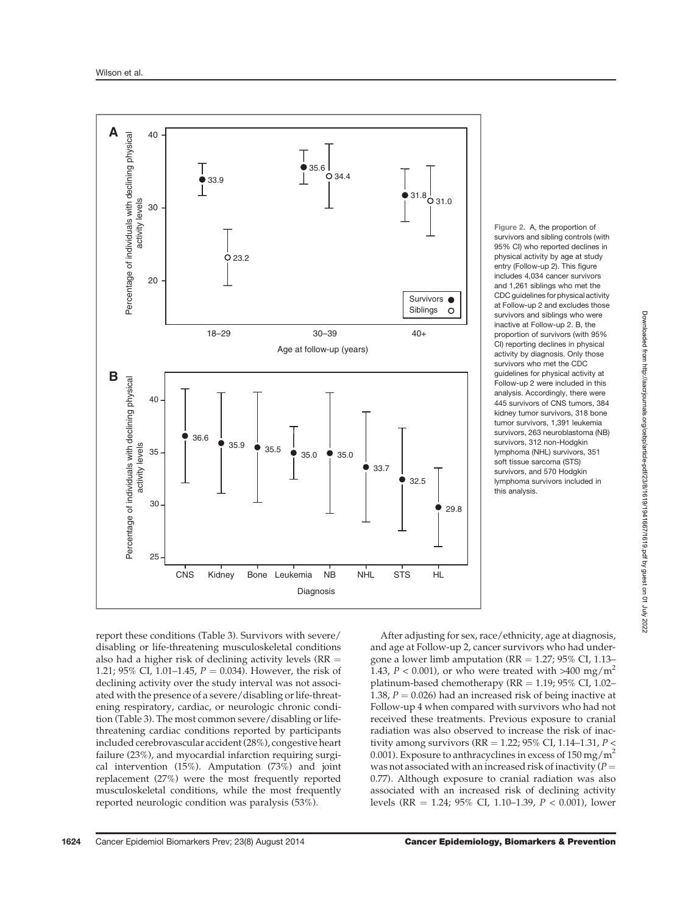

Figure 2. A, the proportion of survivors and sibling controls (with 95% CI) who reported declines in physical activity by age at study entry (Follow-up 2). This figure includes 4,034 cancer survivors and 1,261 siblings who met the CDC guidelines for physical activity at Follow-up 2 and excludes those survivors and siblings who were inactive at Follow-up 2. B, the proportion of survivors (with 95% CI) reporting declines in physical activity by diagnosis. Only those survivors who met the CDC guidelines for physical activity at Follow-up 2 were included in this analysis. Accordingly, there were 445 survivors of CNS tumors, 384 kidney tumor survivors, 318 bone tumor survivors, 1,391 leukemia survivors, 263 neuroblastoma (NB) survivors, 312 non-Hodgkin lymphoma (NHL) survivors, 351 soft tissue sarcoma (STS) survivors, and 570 Hodgkin lymphoma survivors included in this analysis.

report these conditions (Table 3). Survivors with severe/ disabling or life-threatening musculoskeletal conditions also had a higher risk of declining activity levels ( $RR =$ 1.21; 95% CI, 1.01–1.45,  $P = 0.034$ ). However, the risk of declining activity over the study interval was not associated with the presence of a severe/disabling or life-threatening respiratory, cardiac, or neurologic chronic condition (Table 3). The most common severe/disabling or lifethreatening cardiac conditions reported by participants included cerebrovascular accident (28%), congestive heart failure (23%), and myocardial infarction requiring surgical intervention (15%). Amputation (73%) and joint replacement (27%) were the most frequently reported musculoskeletal conditions, while the most frequently reported neurologic condition was paralysis (53%).

After adjusting for sex, race/ethnicity, age at diagnosis, and age at Follow-up 2, cancer survivors who had undergone a lower limb amputation ( $RR = 1.27$ ; 95% CI, 1.13– 1.43,  $P < 0.001$ ), or who were treated with >400 mg/m<sup>2</sup> platinum-based chemotherapy ( $RR = 1.19$ ;  $95\%$  CI,  $1.02-$ 1.38,  $P = 0.026$ ) had an increased risk of being inactive at Follow-up 4 when compared with survivors who had not received these treatments. Previous exposure to cranial radiation was also observed to increase the risk of inactivity among survivors (RR = 1.22; 95% CI, 1.14–1.31,  $P$  < 0.001). Exposure to anthracyclines in excess of  $150 \,\mathrm{mg/m^2}$ was not associated with an increased risk of inactivity ( $P =$ 0.77). Although exposure to cranial radiation was also associated with an increased risk of declining activity levels (RR = 1.24; 95% CI, 1.10–1.39,  $P < 0.001$ ), lower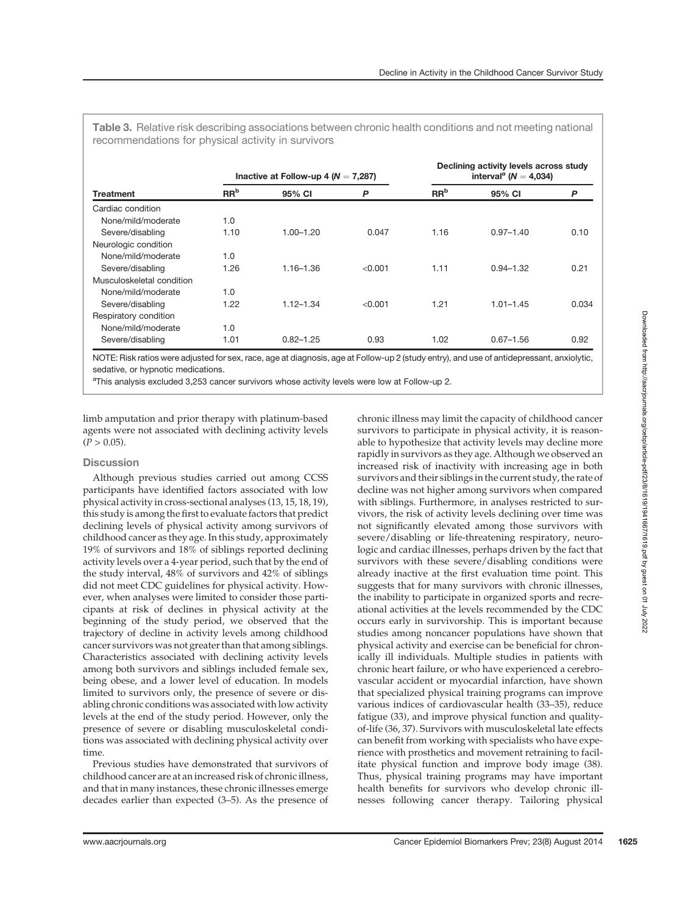Table 3. Relative risk describing associations between chronic health conditions and not meeting national recommendations for physical activity in survivors

| <b>Treatment</b>          | Inactive at Follow-up 4 ( $N = 7,287$ ) |               |         | Declining activity levels across study<br>interval <sup>a</sup> ( $N = 4,034$ ) |               |       |
|---------------------------|-----------------------------------------|---------------|---------|---------------------------------------------------------------------------------|---------------|-------|
|                           | $\mathbf{R}^{\mathbf{b}}$               | 95% CI        | P       | $\mathbf{R}^{\mathbf{b}}$                                                       | 95% CI        | P     |
| Cardiac condition         |                                         |               |         |                                                                                 |               |       |
| None/mild/moderate        | 1.0                                     |               |         |                                                                                 |               |       |
| Severe/disabling          | 1.10                                    | $1.00 - 1.20$ | 0.047   | 1.16                                                                            | $0.97 - 1.40$ | 0.10  |
| Neurologic condition      |                                         |               |         |                                                                                 |               |       |
| None/mild/moderate        | 1.0                                     |               |         |                                                                                 |               |       |
| Severe/disabling          | 1.26                                    | $1.16 - 1.36$ | < 0.001 | 1.11                                                                            | $0.94 - 1.32$ | 0.21  |
| Musculoskeletal condition |                                         |               |         |                                                                                 |               |       |
| None/mild/moderate        | 1.0                                     |               |         |                                                                                 |               |       |
| Severe/disabling          | 1.22                                    | $1.12 - 1.34$ | < 0.001 | 1.21                                                                            | $1.01 - 1.45$ | 0.034 |
| Respiratory condition     |                                         |               |         |                                                                                 |               |       |
| None/mild/moderate        | 1.0                                     |               |         |                                                                                 |               |       |
| Severe/disabling          | 1.01                                    | $0.82 - 1.25$ | 0.93    | 1.02                                                                            | $0.67 - 1.56$ | 0.92  |

NOTE: Risk ratios were adjusted for sex, race, age at diagnosis, age at Follow-up 2 (study entry), and use of antidepressant, anxiolytic, sedative, or hypnotic medications.

<sup>a</sup>This analysis excluded 3,253 cancer survivors whose activity levels were low at Follow-up 2.

limb amputation and prior therapy with platinum-based agents were not associated with declining activity levels  $(P > 0.05)$ .

## **Discussion**

Although previous studies carried out among CCSS participants have identified factors associated with low physical activity in cross-sectional analyses (13, 15, 18, 19), this study is among the first to evaluate factors that predict declining levels of physical activity among survivors of childhood cancer as they age. In this study, approximately 19% of survivors and 18% of siblings reported declining activity levels over a 4-year period, such that by the end of the study interval, 48% of survivors and 42% of siblings did not meet CDC guidelines for physical activity. However, when analyses were limited to consider those participants at risk of declines in physical activity at the beginning of the study period, we observed that the trajectory of decline in activity levels among childhood cancer survivors was not greater than that among siblings. Characteristics associated with declining activity levels among both survivors and siblings included female sex, being obese, and a lower level of education. In models limited to survivors only, the presence of severe or disabling chronic conditions was associated with low activity levels at the end of the study period. However, only the presence of severe or disabling musculoskeletal conditions was associated with declining physical activity over time.

Previous studies have demonstrated that survivors of childhood cancer are at an increased risk of chronic illness, and that in many instances, these chronic illnesses emerge decades earlier than expected (3–5). As the presence of chronic illness may limit the capacity of childhood cancer survivors to participate in physical activity, it is reasonable to hypothesize that activity levels may decline more rapidly in survivors as they age. Although we observed an increased risk of inactivity with increasing age in both survivors and their siblings in the current study, the rate of decline was not higher among survivors when compared with siblings. Furthermore, in analyses restricted to survivors, the risk of activity levels declining over time was not significantly elevated among those survivors with severe/disabling or life-threatening respiratory, neurologic and cardiac illnesses, perhaps driven by the fact that survivors with these severe/disabling conditions were already inactive at the first evaluation time point. This suggests that for many survivors with chronic illnesses, the inability to participate in organized sports and recreational activities at the levels recommended by the CDC occurs early in survivorship. This is important because studies among noncancer populations have shown that physical activity and exercise can be beneficial for chronically ill individuals. Multiple studies in patients with chronic heart failure, or who have experienced a cerebrovascular accident or myocardial infarction, have shown that specialized physical training programs can improve various indices of cardiovascular health (33–35), reduce fatigue (33), and improve physical function and qualityof-life (36, 37). Survivors with musculoskeletal late effects can benefit from working with specialists who have experience with prosthetics and movement retraining to facilitate physical function and improve body image (38). Thus, physical training programs may have important health benefits for survivors who develop chronic illnesses following cancer therapy. Tailoring physical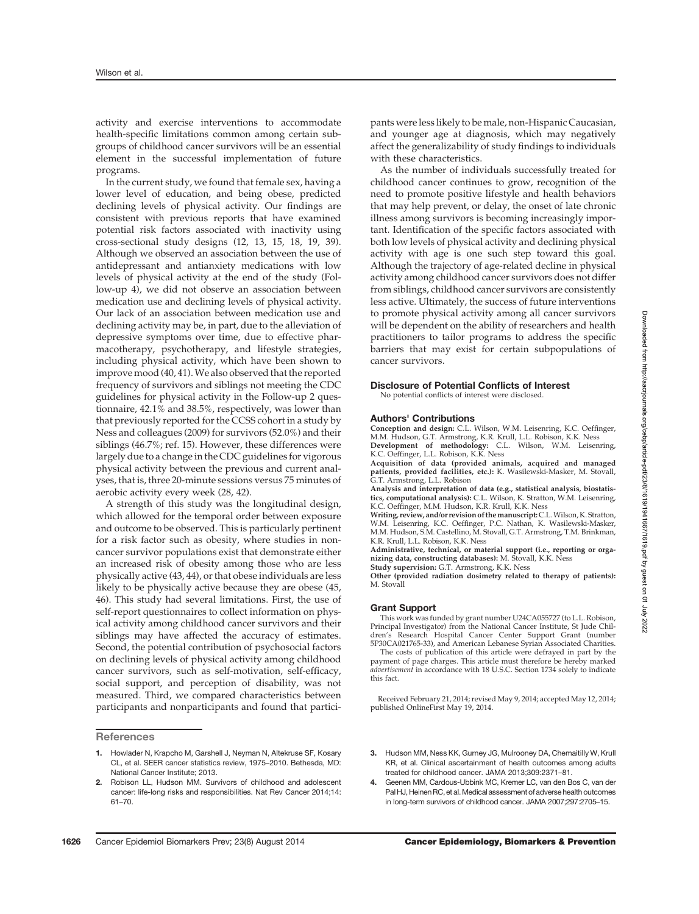activity and exercise interventions to accommodate health-specific limitations common among certain subgroups of childhood cancer survivors will be an essential element in the successful implementation of future programs.

In the current study, we found that female sex, having a lower level of education, and being obese, predicted declining levels of physical activity. Our findings are consistent with previous reports that have examined potential risk factors associated with inactivity using cross-sectional study designs (12, 13, 15, 18, 19, 39). Although we observed an association between the use of antidepressant and antianxiety medications with low levels of physical activity at the end of the study (Follow-up 4), we did not observe an association between medication use and declining levels of physical activity. Our lack of an association between medication use and declining activity may be, in part, due to the alleviation of depressive symptoms over time, due to effective pharmacotherapy, psychotherapy, and lifestyle strategies, including physical activity, which have been shown to improve mood (40, 41). We also observed that the reported frequency of survivors and siblings not meeting the CDC guidelines for physical activity in the Follow-up 2 questionnaire, 42.1% and 38.5%, respectively, was lower than that previously reported for the CCSS cohort in a study by Ness and colleagues (2009) for survivors (52.0%) and their siblings (46.7%; ref. 15). However, these differences were largely due to a change in the CDC guidelines for vigorous physical activity between the previous and current analyses, that is, three 20-minute sessions versus 75 minutes of aerobic activity every week (28, 42).

A strength of this study was the longitudinal design, which allowed for the temporal order between exposure and outcome to be observed. This is particularly pertinent for a risk factor such as obesity, where studies in noncancer survivor populations exist that demonstrate either an increased risk of obesity among those who are less physically active (43, 44), or that obese individuals are less likely to be physically active because they are obese (45, 46). This study had several limitations. First, the use of self-report questionnaires to collect information on physical activity among childhood cancer survivors and their siblings may have affected the accuracy of estimates. Second, the potential contribution of psychosocial factors on declining levels of physical activity among childhood cancer survivors, such as self-motivation, self-efficacy, social support, and perception of disability, was not measured. Third, we compared characteristics between participants and nonparticipants and found that partici-

**References** 

As the number of individuals successfully treated for childhood cancer continues to grow, recognition of the need to promote positive lifestyle and health behaviors that may help prevent, or delay, the onset of late chronic illness among survivors is becoming increasingly important. Identification of the specific factors associated with both low levels of physical activity and declining physical activity with age is one such step toward this goal. Although the trajectory of age-related decline in physical activity among childhood cancer survivors does not differ from siblings, childhood cancer survivors are consistently less active. Ultimately, the success of future interventions to promote physical activity among all cancer survivors will be dependent on the ability of researchers and health practitioners to tailor programs to address the specific barriers that may exist for certain subpopulations of cancer survivors.

#### Disclosure of Potential Conflicts of Interest No potential conflicts of interest were disclosed.

#### Authors' Contributions

Conception and design: C.L. Wilson, W.M. Leisenring, K.C. Oeffinger, M.M. Hudson, G.T. Armstrong, K.R. Krull, L.L. Robison, K.K. Ness<br>**Development of methodology:** C.L. Wilson, W.M. Leisenring,<br>K.C. Oeffinger, L.L. Robison, K.K. Ness

Acquisition of data (provided animals, acquired and managed patients, provided facilities, etc.): K. Wasilewski-Masker, M. Stovall, G.T. Armstrong, L.L. Robison

Analysis and interpretation of data (e.g., statistical analysis, biostatistics, computational analysis): C.L. Wilson, K. Stratton, W.M. Leisenring, K.C. Oeffinger, M.M. Hudson, K.R. Krull, K.K. Ness

Writing, review, and/or revision of the manuscript: C.L. Wilson, K. Stratton, W.M. Leisenring, K.C. Oeffinger, P.C. Nathan, K. Wasilewski-Masker, M.M. Hudson, S.M. Castellino, M. Stovall, G.T. Armstrong, T.M. Brinkman, K.R. Krull, L.L. Robison, K.K. Ness

Administrative, technical, or material support (i.e., reporting or orga-nizing data, constructing databases): M. Stovall, K.K. Ness Study supervision: G.T. Armstrong, K.K. Ness

Other (provided radiation dosimetry related to therapy of patients): M. Stovall

#### Grant Support

This work was funded by grant number U24CA055727 (to L.L. Robison, Principal Investigator) from the National Cancer Institute, St Jude Children's Research Hospital Cancer Center Support Grant (number 5P30CA021765-33), and American Lebanese Syrian Associated Charities.

The costs of publication of this article were defrayed in part by the payment of page charges. This article must therefore be hereby marked advertisement in accordance with 18 U.S.C. Section 1734 solely to indicate this fact.

Received February 21, 2014; revised May 9, 2014; accepted May 12, 2014; published OnlineFirst May 19, 2014.

- 3. Hudson MM, Ness KK, Gurney JG, Mulrooney DA, Chemaitilly W, Krull KR, et al. Clinical ascertainment of health outcomes among adults treated for childhood cancer. JAMA 2013;309:2371–81.
- 4. Geenen MM, Cardous-Ubbink MC, Kremer LC, van den Bos C, van der Pal HJ, Heinen RC, et al. Medical assessment of adverse health outcomes in long-term survivors of childhood cancer. JAMA 2007;297:2705–15.

<sup>1.</sup> Howlader N, Krapcho M, Garshell J, Neyman N, Altekruse SF, Kosary CL, et al. SEER cancer statistics review, 1975–2010. Bethesda, MD: National Cancer Institute; 2013.

<sup>2.</sup> Robison LL, Hudson MM. Survivors of childhood and adolescent cancer: life-long risks and responsibilities. Nat Rev Cancer 2014;14: 61–70.